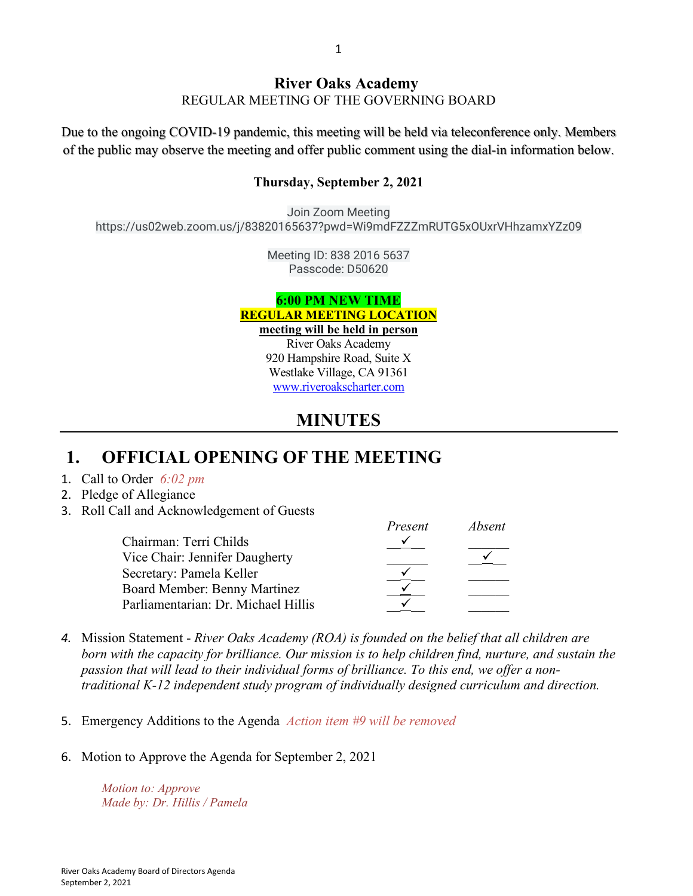### **River Oaks Academy** REGULAR MEETING OF THE GOVERNING BOARD

Due to the ongoing COVID-19 pandemic, this meeting will be held via teleconference only. Members of the public may observe the meeting and offer public comment using the dial-in information below.

#### **Thursday, September 2, 2021**

Join Zoom Meeting https://us02web.zoom.us/j/83820165637?pwd=Wi9mdFZZZmRUTG5xOUxrVHhzamxYZz09

> Meeting ID: 838 2016 5637 Passcode: D50620

#### **6:00 PM NEW TIME REGULAR MEETING LOCATION meeting will be held in person**

River Oaks Academy 920 Hampshire Road, Suite X Westlake Village, CA 91361 [www.riveroakscharter.com](http://www.riveroakscharter.com/)

## **MINUTES**

## **1. OFFICIAL OPENING OF THE MEETING**

- 1. Call to Order *6:02 pm*
- 2. Pledge of Allegiance
- 3. Roll Call and Acknowledgement of Guests

|                                     | Present | Absent |
|-------------------------------------|---------|--------|
| Chairman: Terri Childs              |         |        |
| Vice Chair: Jennifer Daugherty      |         |        |
| Secretary: Pamela Keller            |         |        |
| Board Member: Benny Martinez        |         |        |
| Parliamentarian: Dr. Michael Hillis |         |        |

- *4.* Mission Statement *River Oaks Academy (ROA) is founded on the belief that all children are born with the capacity for brilliance. Our mission is to help children find, nurture, and sustain the passion that will lead to their individual forms of brilliance. To this end, we offer a nontraditional K-12 independent study program of individually designed curriculum and direction.*
- 5. Emergency Additions to the Agenda *Action item #9 will be removed*
- 6. Motion to Approve the Agenda for September 2, 2021

*Motion to: Approve Made by: Dr. Hillis / Pamela*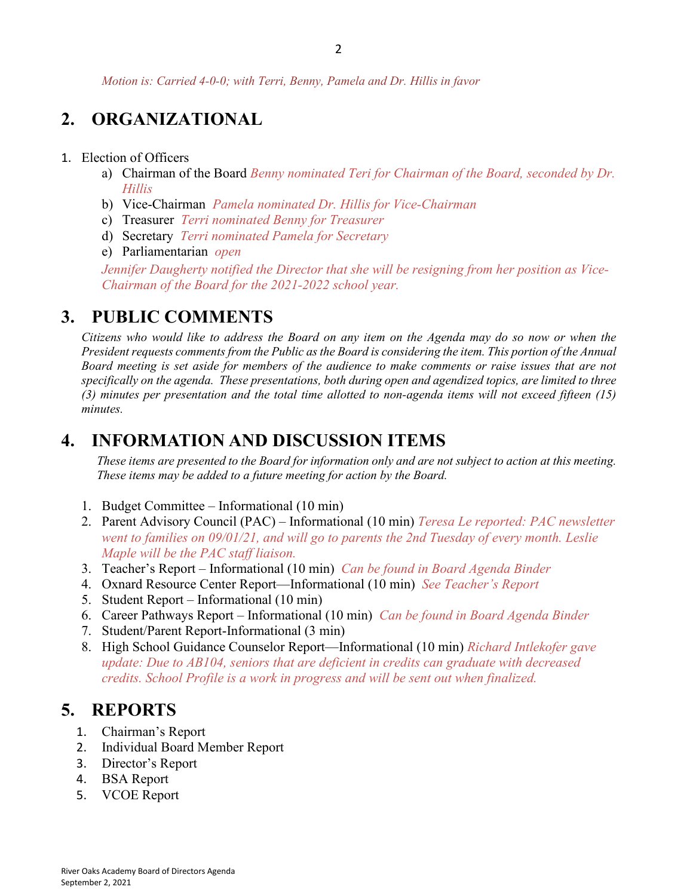*Motion is: Carried 4-0-0; with Terri, Benny, Pamela and Dr. Hillis in favor*

# **2. ORGANIZATIONAL**

#### 1. Election of Officers

- a) Chairman of the Board *Benny nominated Teri for Chairman of the Board, seconded by Dr. Hillis*
- b) Vice-Chairman *Pamela nominated Dr. Hillis for Vice-Chairman*
- c) Treasurer *Terri nominated Benny for Treasurer*
- d) Secretary *Terri nominated Pamela for Secretary*
- e) Parliamentarian *open*

*Jennifer Daugherty notified the Director that she will be resigning from her position as Vice-Chairman of the Board for the 2021-2022 school year.*

### **3. PUBLIC COMMENTS**

*Citizens who would like to address the Board on any item on the Agenda may do so now or when the President requests comments from the Public as the Board is considering the item. This portion of the Annual Board meeting is set aside for members of the audience to make comments or raise issues that are not specifically on the agenda. These presentations, both during open and agendized topics, are limited to three (3) minutes per presentation and the total time allotted to non-agenda items will not exceed fifteen (15) minutes.*

## **4. INFORMATION AND DISCUSSION ITEMS**

*These items are presented to the Board for information only and are not subject to action at this meeting. These items may be added to a future meeting for action by the Board.*

- 1. Budget Committee Informational (10 min)
- 2. Parent Advisory Council (PAC) Informational (10 min) *Teresa Le reported: PAC newsletter went to families on 09/01/21, and will go to parents the 2nd Tuesday of every month. Leslie Maple will be the PAC staff liaison.*
- 3. Teacher's Report Informational (10 min) *Can be found in Board Agenda Binder*
- 4. Oxnard Resource Center Report—Informational (10 min) *See Teacher's Report*
- 5. Student Report Informational (10 min)
- 6. Career Pathways Report Informational (10 min) *Can be found in Board Agenda Binder*
- 7. Student/Parent Report-Informational (3 min)
- 8. High School Guidance Counselor Report—Informational (10 min) *Richard Intlekofer gave update: Due to AB104, seniors that are deficient in credits can graduate with decreased credits. School Profile is a work in progress and will be sent out when finalized.*

## **5. REPORTS**

- 1. Chairman's Report
- 2. Individual Board Member Report
- 3. Director's Report
- 4. BSA Report
- 5. VCOE Report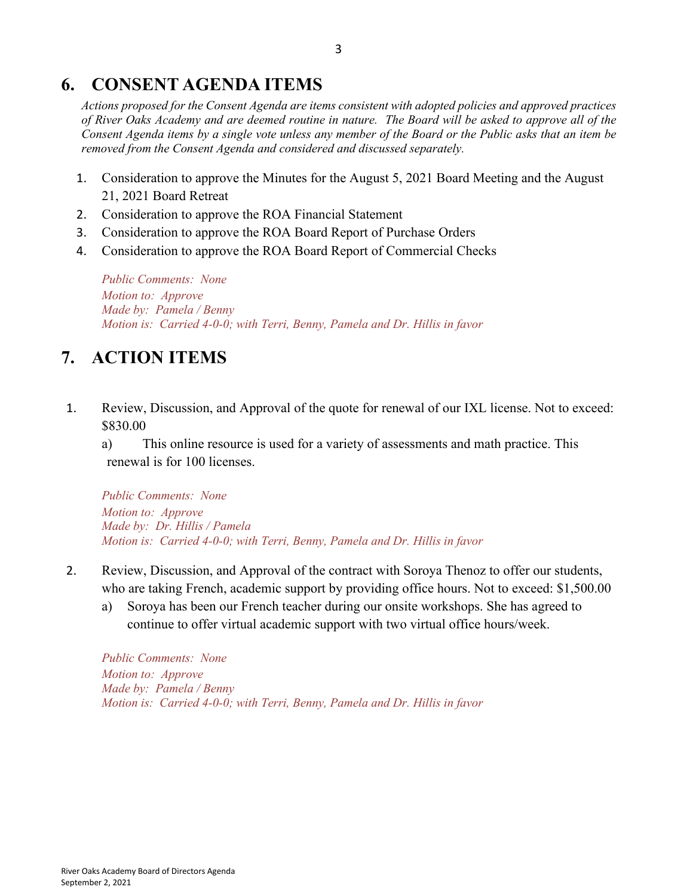## **6. CONSENT AGENDA ITEMS**

*Actions proposed for the Consent Agenda are items consistent with adopted policies and approved practices of River Oaks Academy and are deemed routine in nature. The Board will be asked to approve all of the Consent Agenda items by a single vote unless any member of the Board or the Public asks that an item be removed from the Consent Agenda and considered and discussed separately.*

- 1. Consideration to approve the Minutes for the August 5, 2021 Board Meeting and the August 21, 2021 Board Retreat
- 2. Consideration to approve the ROA Financial Statement
- 3. Consideration to approve the ROA Board Report of Purchase Orders
- 4. Consideration to approve the ROA Board Report of Commercial Checks

*Public Comments: None Motion to: Approve Made by: Pamela / Benny Motion is: Carried 4-0-0; with Terri, Benny, Pamela and Dr. Hillis in favor*

# **7. ACTION ITEMS**

1. Review, Discussion, and Approval of the quote for renewal of our IXL license. Not to exceed: \$830.00

a) This online resource is used for a variety of assessments and math practice. This renewal is for 100 licenses.

*Public Comments: None Motion to: Approve Made by: Dr. Hillis / Pamela Motion is: Carried 4-0-0; with Terri, Benny, Pamela and Dr. Hillis in favor*

- 2. Review, Discussion, and Approval of the contract with Soroya Thenoz to offer our students, who are taking French, academic support by providing office hours. Not to exceed: \$1,500.00
	- a) Soroya has been our French teacher during our onsite workshops. She has agreed to continue to offer virtual academic support with two virtual office hours/week.

*Public Comments: None Motion to: Approve Made by: Pamela / Benny Motion is: Carried 4-0-0; with Terri, Benny, Pamela and Dr. Hillis in favor*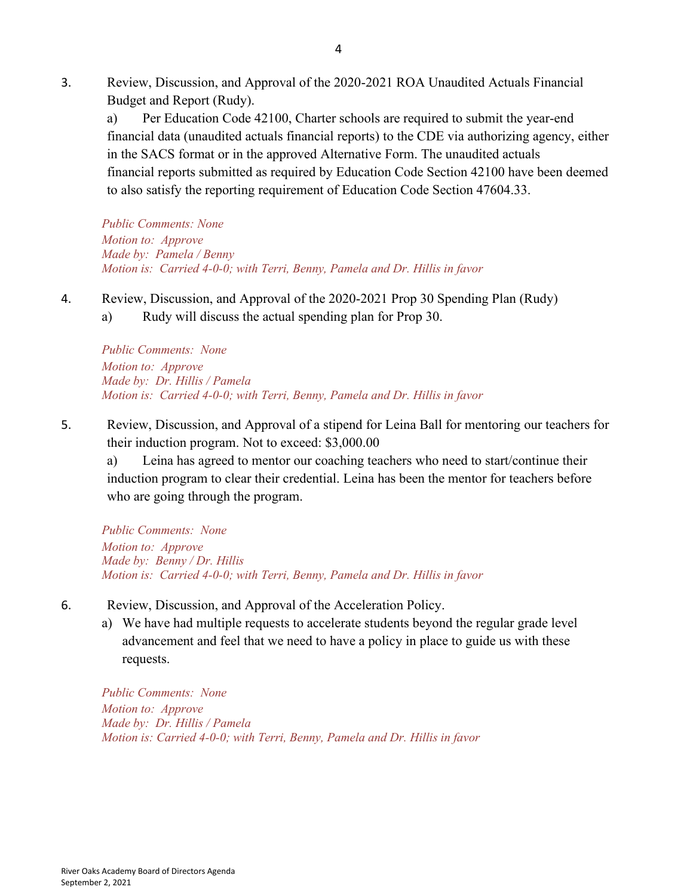3. Review, Discussion, and Approval of the 2020-2021 ROA Unaudited Actuals Financial Budget and Report (Rudy).

a) Per Education Code 42100, Charter schools are required to submit the year-end financial data (unaudited actuals financial reports) to the CDE via authorizing agency, either in the SACS format or in the approved Alternative Form. The unaudited actuals financial reports submitted as required by Education Code Section 42100 have been deemed to also satisfy the reporting requirement of Education Code Section 47604.33.

*Public Comments: None Motion to: Approve Made by: Pamela / Benny Motion is: Carried 4-0-0; with Terri, Benny, Pamela and Dr. Hillis in favor*

- 4. Review, Discussion, and Approval of the 2020-2021 Prop 30 Spending Plan (Rudy)
	- a) Rudy will discuss the actual spending plan for Prop 30.

*Public Comments: None Motion to: Approve Made by: Dr. Hillis / Pamela Motion is: Carried 4-0-0; with Terri, Benny, Pamela and Dr. Hillis in favor*

5. Review, Discussion, and Approval of a stipend for Leina Ball for mentoring our teachers for their induction program. Not to exceed: \$3,000.00

a) Leina has agreed to mentor our coaching teachers who need to start/continue their induction program to clear their credential. Leina has been the mentor for teachers before who are going through the program.

*Public Comments: None Motion to: Approve Made by: Benny / Dr. Hillis Motion is: Carried 4-0-0; with Terri, Benny, Pamela and Dr. Hillis in favor*

- 6. Review, Discussion, and Approval of the Acceleration Policy.
	- a) We have had multiple requests to accelerate students beyond the regular grade level advancement and feel that we need to have a policy in place to guide us with these requests.

*Public Comments: None Motion to: Approve Made by: Dr. Hillis / Pamela Motion is: Carried 4-0-0; with Terri, Benny, Pamela and Dr. Hillis in favor*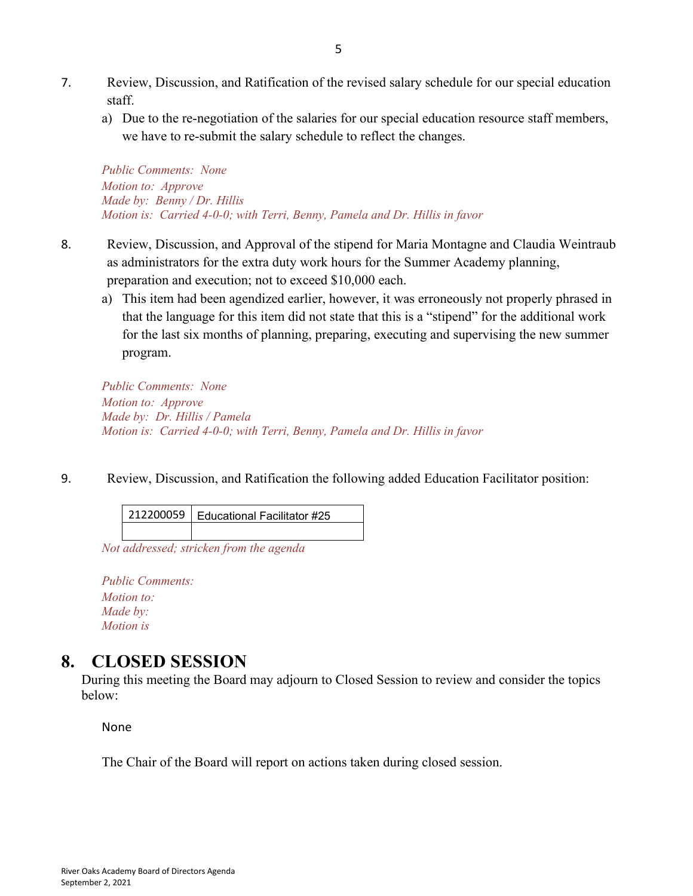- 7. Review, Discussion, and Ratification of the revised salary schedule for our special education staff.
	- a) Due to the re-negotiation of the salaries for our special education resource staff members, we have to re-submit the salary schedule to reflect the changes.

*Public Comments: None Motion to: Approve Made by: Benny / Dr. Hillis Motion is: Carried 4-0-0; with Terri, Benny, Pamela and Dr. Hillis in favor*

- 8. Review, Discussion, and Approval of the stipend for Maria Montagne and Claudia Weintraub as administrators for the extra duty work hours for the Summer Academy planning, preparation and execution; not to exceed \$10,000 each.
	- a) This item had been agendized earlier, however, it was erroneously not properly phrased in that the language for this item did not state that this is a "stipend" for the additional work for the last six months of planning, preparing, executing and supervising the new summer program.

*Public Comments: None Motion to: Approve Made by: Dr. Hillis / Pamela Motion is: Carried 4-0-0; with Terri, Benny, Pamela and Dr. Hillis in favor*

9. Review, Discussion, and Ratification the following added Education Facilitator position:

| 212200059   Educational Facilitator #25 |
|-----------------------------------------|
|                                         |

*Not addressed; stricken from the agenda* 

*Public Comments: Motion to: Made by: Motion is*

## **8. CLOSED SESSION**

During this meeting the Board may adjourn to Closed Session to review and consider the topics below:

None

The Chair of the Board will report on actions taken during closed session.